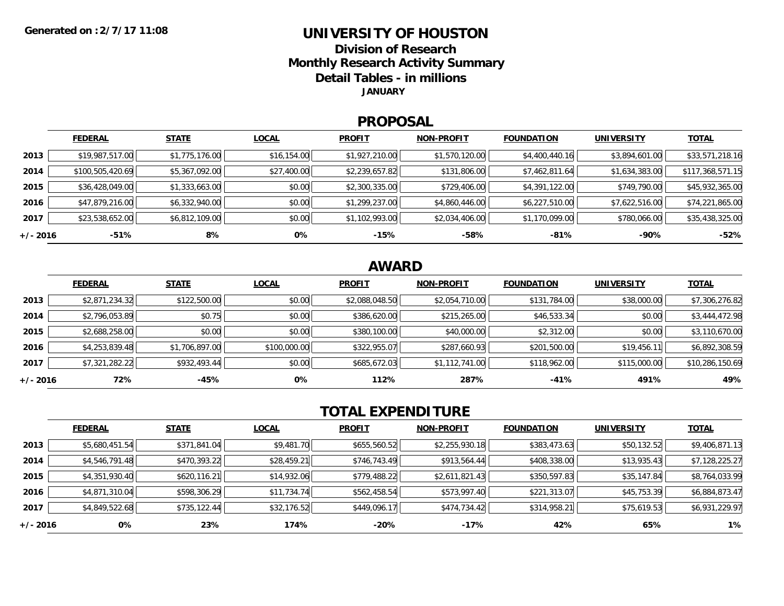### **UNIVERSITY OF HOUSTONDivision of ResearchMonthly Research Activity Summary Detail Tables - in millions**

**JANUARY**

#### **PROPOSAL**

|            | <b>FEDERAL</b>   | <b>STATE</b>   | <b>LOCAL</b> | <b>PROFIT</b>  | <b>NON-PROFIT</b> | <b>FOUNDATION</b> | <b>UNIVERSITY</b> | <b>TOTAL</b>     |
|------------|------------------|----------------|--------------|----------------|-------------------|-------------------|-------------------|------------------|
| 2013       | \$19,987,517.00  | \$1,775,176.00 | \$16,154.00  | \$1,927,210.00 | \$1,570,120.00    | \$4,400,440.16    | \$3,894,601.00    | \$33,571,218.16  |
| 2014       | \$100,505,420.69 | \$5,367,092.00 | \$27,400.00  | \$2,239,657.82 | \$131,806.00      | \$7,462,811.64    | \$1,634,383.00    | \$117,368,571.15 |
| 2015       | \$36,428,049.00  | \$1,333,663.00 | \$0.00       | \$2,300,335.00 | \$729,406.00      | \$4,391,122.00    | \$749,790.00      | \$45,932,365.00  |
| 2016       | \$47,879,216.00  | \$6,332,940.00 | \$0.00       | \$1,299,237.00 | \$4,860,446.00    | \$6,227,510.00    | \$7,622,516.00    | \$74,221,865.00  |
| 2017       | \$23,538,652.00  | \$6,812,109.00 | \$0.00       | \$1,102,993.00 | \$2,034,406.00    | \$1,170,099.00    | \$780,066.00      | \$35,438,325.00  |
| $+/- 2016$ | -51%             | 8%             | 0%           | $-15%$         | -58%              | -81%              | -90%              | $-52%$           |

# **AWARD**

|            | <b>FEDERAL</b> | <b>STATE</b>   | <b>LOCAL</b> | <b>PROFIT</b>  | <b>NON-PROFIT</b> | <b>FOUNDATION</b> | <b>UNIVERSITY</b> | <b>TOTAL</b>    |
|------------|----------------|----------------|--------------|----------------|-------------------|-------------------|-------------------|-----------------|
| 2013       | \$2,871,234.32 | \$122,500.00   | \$0.00       | \$2,088,048.50 | \$2,054,710.00    | \$131,784.00      | \$38,000.00       | \$7,306,276.82  |
| 2014       | \$2,796,053.89 | \$0.75         | \$0.00       | \$386,620.00   | \$215,265.00      | \$46,533.34       | \$0.00            | \$3,444,472.98  |
| 2015       | \$2,688,258.00 | \$0.00         | \$0.00       | \$380,100.00   | \$40,000.00       | \$2,312.00        | \$0.00            | \$3,110,670.00  |
| 2016       | \$4,253,839.48 | \$1,706,897.00 | \$100,000.00 | \$322,955.07   | \$287,660.93      | \$201,500.00      | \$19,456.11       | \$6,892,308.59  |
| 2017       | \$7,321,282.22 | \$932,493.44   | \$0.00       | \$685,672.03   | \$1,112,741.00    | \$118,962.00      | \$115,000.00      | \$10,286,150.69 |
| $+/- 2016$ | 72%            | -45%           | 0%           | 112%           | 287%              | $-41%$            | 491%              | 49%             |

# **TOTAL EXPENDITURE**

|            | <b>FEDERAL</b> | <b>STATE</b> | <b>LOCAL</b> | <b>PROFIT</b> | <b>NON-PROFIT</b> | <b>FOUNDATION</b> | <b>UNIVERSITY</b> | <b>TOTAL</b>   |
|------------|----------------|--------------|--------------|---------------|-------------------|-------------------|-------------------|----------------|
| 2013       | \$5,680,451.54 | \$371,841.04 | \$9,481.70   | \$655,560.52  | \$2,255,930.18    | \$383,473.63      | \$50,132.52       | \$9,406,871.13 |
| 2014       | \$4,546,791.48 | \$470,393.22 | \$28,459.21  | \$746,743.49  | \$913,564.44      | \$408,338.00      | \$13,935.43       | \$7,128,225.27 |
| 2015       | \$4,351,930.40 | \$620,116.21 | \$14,932.06  | \$779,488.22  | \$2,611,821.43    | \$350,597.83      | \$35,147.84       | \$8,764,033.99 |
| 2016       | \$4,871,310.04 | \$598,306.29 | \$11,734.74  | \$562,458.54  | \$573,997.40      | \$221,313.07      | \$45,753.39       | \$6,884,873.47 |
| 2017       | \$4,849,522.68 | \$735,122.44 | \$32,176.52  | \$449,096.17  | \$474,734.42      | \$314,958.21      | \$75,619.53       | \$6,931,229.97 |
| $+/- 2016$ | 0%             | 23%          | 174%         | $-20%$        | $-17%$            | 42%               | 65%               | 1%             |